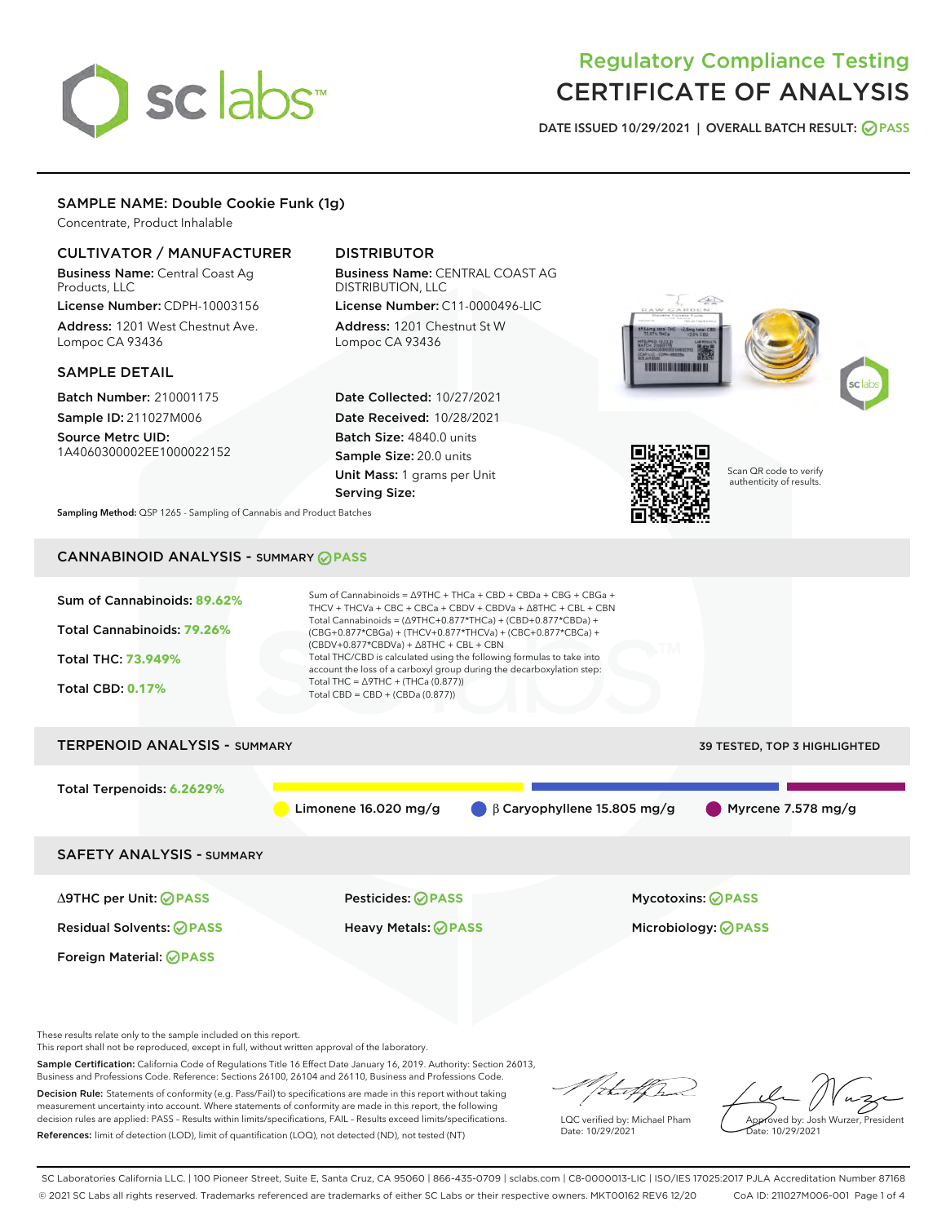# sclabs<sup>\*</sup>

# Regulatory Compliance Testing CERTIFICATE OF ANALYSIS

DATE ISSUED 10/29/2021 | OVERALL BATCH RESULT: @ PASS

# SAMPLE NAME: Double Cookie Funk (1g)

Concentrate, Product Inhalable

# CULTIVATOR / MANUFACTURER

Business Name: Central Coast Ag Products, LLC

License Number: CDPH-10003156 Address: 1201 West Chestnut Ave. Lompoc CA 93436

# SAMPLE DETAIL

Batch Number: 210001175 Sample ID: 211027M006 Source Metrc UID:

1A4060300002EE1000022152

# DISTRIBUTOR

Business Name: CENTRAL COAST AG DISTRIBUTION, LLC License Number: C11-0000496-LIC

Address: 1201 Chestnut St W Lompoc CA 93436

Date Collected: 10/27/2021 Date Received: 10/28/2021 Batch Size: 4840.0 units Sample Size: 20.0 units Unit Mass: 1 grams per Unit Serving Size:





Scan QR code to verify authenticity of results.

Sampling Method: QSP 1265 - Sampling of Cannabis and Product Batches

# CANNABINOID ANALYSIS - SUMMARY **PASS**



Residual Solvents: **PASS** Heavy Metals: **PASS** Microbiology: **PASS**

Foreign Material: **PASS**

These results relate only to the sample included on this report.

This report shall not be reproduced, except in full, without written approval of the laboratory.

Sample Certification: California Code of Regulations Title 16 Effect Date January 16, 2019. Authority: Section 26013, Business and Professions Code. Reference: Sections 26100, 26104 and 26110, Business and Professions Code. Decision Rule: Statements of conformity (e.g. Pass/Fail) to specifications are made in this report without taking

measurement uncertainty into account. Where statements of conformity are made in this report, the following decision rules are applied: PASS – Results within limits/specifications, FAIL – Results exceed limits/specifications. References: limit of detection (LOD), limit of quantification (LOQ), not detected (ND), not tested (NT)

that for

LQC verified by: Michael Pham Date: 10/29/2021

Approved by: Josh Wurzer, President ate: 10/29/2021

SC Laboratories California LLC. | 100 Pioneer Street, Suite E, Santa Cruz, CA 95060 | 866-435-0709 | sclabs.com | C8-0000013-LIC | ISO/IES 17025:2017 PJLA Accreditation Number 87168 © 2021 SC Labs all rights reserved. Trademarks referenced are trademarks of either SC Labs or their respective owners. MKT00162 REV6 12/20 CoA ID: 211027M006-001 Page 1 of 4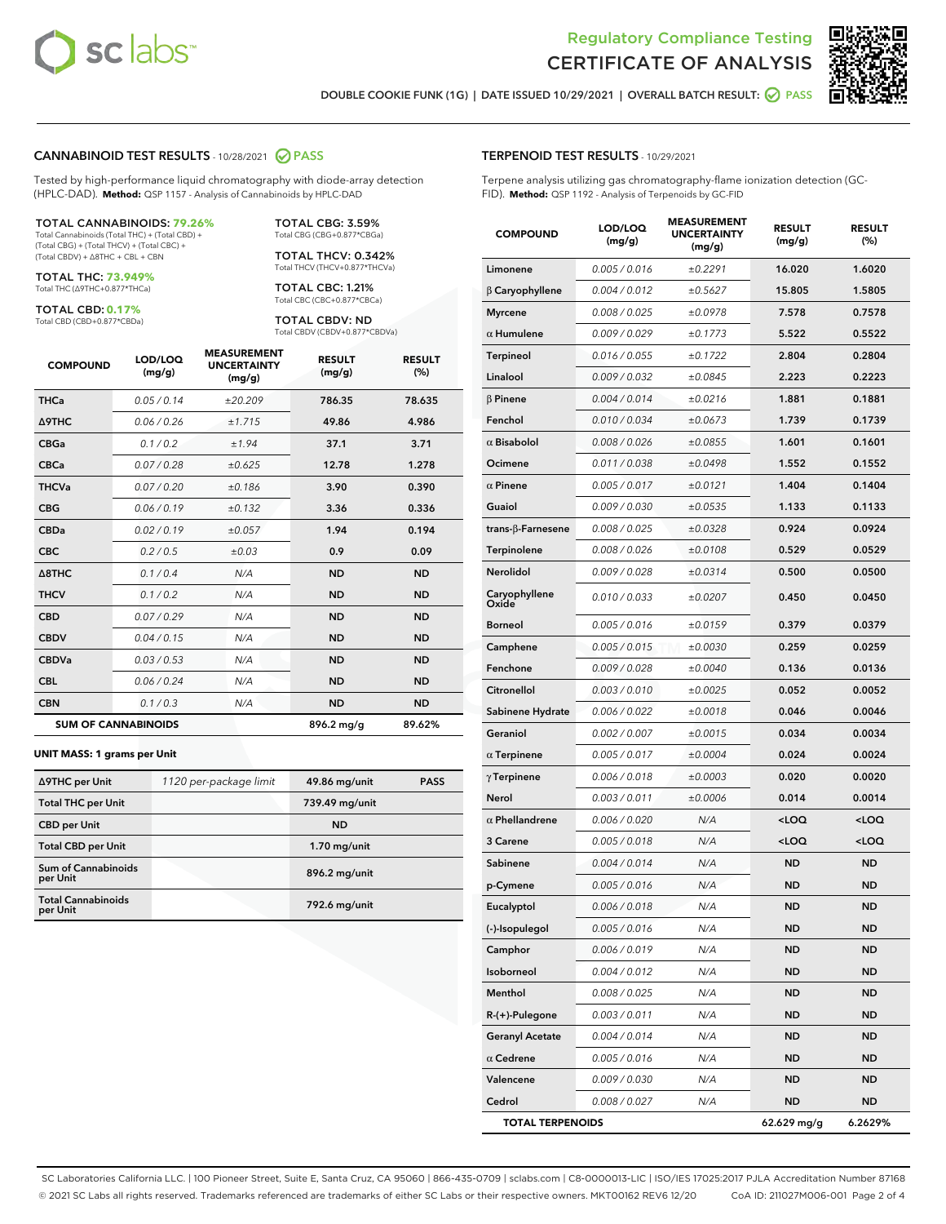



DOUBLE COOKIE FUNK (1G) | DATE ISSUED 10/29/2021 | OVERALL BATCH RESULT: ● PASS

#### CANNABINOID TEST RESULTS - 10/28/2021 2 PASS

Tested by high-performance liquid chromatography with diode-array detection (HPLC-DAD). **Method:** QSP 1157 - Analysis of Cannabinoids by HPLC-DAD

#### TOTAL CANNABINOIDS: **79.26%**

Total Cannabinoids (Total THC) + (Total CBD) + (Total CBG) + (Total THCV) + (Total CBC) + (Total CBDV) + ∆8THC + CBL + CBN

TOTAL THC: **73.949%** Total THC (∆9THC+0.877\*THCa)

TOTAL CBD: **0.17%**

Total CBD (CBD+0.877\*CBDa)

TOTAL CBG: 3.59% Total CBG (CBG+0.877\*CBGa)

TOTAL THCV: 0.342% Total THCV (THCV+0.877\*THCVa)

TOTAL CBC: 1.21% Total CBC (CBC+0.877\*CBCa)

TOTAL CBDV: ND Total CBDV (CBDV+0.877\*CBDVa)

| <b>COMPOUND</b>  | LOD/LOQ<br>(mg/g)          | <b>MEASUREMENT</b><br><b>UNCERTAINTY</b><br>(mg/g) | <b>RESULT</b><br>(mg/g) | <b>RESULT</b><br>(%) |
|------------------|----------------------------|----------------------------------------------------|-------------------------|----------------------|
| <b>THCa</b>      | 0.05 / 0.14                | ±20.209                                            | 786.35                  | 78.635               |
| <b>A9THC</b>     | 0.06 / 0.26                | ±1.715                                             | 49.86                   | 4.986                |
| <b>CBGa</b>      | 0.1 / 0.2                  | ±1.94                                              | 37.1                    | 3.71                 |
| <b>CBCa</b>      | 0.07/0.28                  | ±0.625                                             | 12.78                   | 1.278                |
| <b>THCVa</b>     | 0.07/0.20                  | ±0.186                                             | 3.90                    | 0.390                |
| <b>CBG</b>       | 0.06/0.19                  | ±0.132                                             | 3.36                    | 0.336                |
| <b>CBDa</b>      | 0.02/0.19                  | ±0.057                                             | 1.94                    | 0.194                |
| <b>CBC</b>       | 0.2 / 0.5                  | ±0.03                                              | 0.9                     | 0.09                 |
| $\triangle$ 8THC | 0.1/0.4                    | N/A                                                | <b>ND</b>               | <b>ND</b>            |
| <b>THCV</b>      | 0.1 / 0.2                  | N/A                                                | <b>ND</b>               | <b>ND</b>            |
| <b>CBD</b>       | 0.07/0.29                  | N/A                                                | <b>ND</b>               | <b>ND</b>            |
| <b>CBDV</b>      | 0.04 / 0.15                | N/A                                                | <b>ND</b>               | <b>ND</b>            |
| <b>CBDVa</b>     | 0.03 / 0.53                | N/A                                                | <b>ND</b>               | <b>ND</b>            |
| <b>CBL</b>       | 0.06 / 0.24                | N/A                                                | <b>ND</b>               | <b>ND</b>            |
| <b>CBN</b>       | 0.1/0.3                    | N/A                                                | <b>ND</b>               | <b>ND</b>            |
|                  | <b>SUM OF CANNABINOIDS</b> |                                                    | 896.2 mg/g              | 89.62%               |

#### **UNIT MASS: 1 grams per Unit**

| ∆9THC per Unit                        | 1120 per-package limit | 49.86 mg/unit  | <b>PASS</b> |
|---------------------------------------|------------------------|----------------|-------------|
| <b>Total THC per Unit</b>             |                        | 739.49 mg/unit |             |
| <b>CBD</b> per Unit                   |                        | <b>ND</b>      |             |
| <b>Total CBD per Unit</b>             |                        | $1.70$ mg/unit |             |
| Sum of Cannabinoids<br>per Unit       |                        | 896.2 mg/unit  |             |
| <b>Total Cannabinoids</b><br>per Unit |                        | 792.6 mg/unit  |             |

#### TERPENOID TEST RESULTS - 10/29/2021

Terpene analysis utilizing gas chromatography-flame ionization detection (GC-FID). **Method:** QSP 1192 - Analysis of Terpenoids by GC-FID

| <b>COMPOUND</b>         | LOD/LOQ<br>(mg/g) | <b>MEASUREMENT</b><br><b>UNCERTAINTY</b><br>(mg/g) | <b>RESULT</b><br>(mg/g)                         | <b>RESULT</b><br>(%) |
|-------------------------|-------------------|----------------------------------------------------|-------------------------------------------------|----------------------|
| Limonene                | 0.005 / 0.016     | ±0.2291                                            | 16.020                                          | 1.6020               |
| $\beta$ Caryophyllene   | 0.004 / 0.012     | ±0.5627                                            | 15.805                                          | 1.5805               |
| <b>Myrcene</b>          | 0.008 / 0.025     | ±0.0978                                            | 7.578                                           | 0.7578               |
| $\alpha$ Humulene       | 0.009 / 0.029     | ±0.1773                                            | 5.522                                           | 0.5522               |
| <b>Terpineol</b>        | 0.016 / 0.055     | ±0.1722                                            | 2.804                                           | 0.2804               |
| Linalool                | 0.009 / 0.032     | ±0.0845                                            | 2.223                                           | 0.2223               |
| $\beta$ Pinene          | 0.004 / 0.014     | ±0.0216                                            | 1.881                                           | 0.1881               |
| Fenchol                 | 0.010 / 0.034     | ±0.0673                                            | 1.739                                           | 0.1739               |
| $\alpha$ Bisabolol      | 0.008 / 0.026     | ±0.0855                                            | 1.601                                           | 0.1601               |
| Ocimene                 | 0.011 / 0.038     | ±0.0498                                            | 1.552                                           | 0.1552               |
| $\alpha$ Pinene         | 0.005 / 0.017     | ±0.0121                                            | 1.404                                           | 0.1404               |
| Guaiol                  | 0.009 / 0.030     | ±0.0535                                            | 1.133                                           | 0.1133               |
| trans-ß-Farnesene       | 0.008 / 0.025     | ±0.0328                                            | 0.924                                           | 0.0924               |
| <b>Terpinolene</b>      | 0.008 / 0.026     | ±0.0108                                            | 0.529                                           | 0.0529               |
| Nerolidol               | 0.009 / 0.028     | ±0.0314                                            | 0.500                                           | 0.0500               |
| Caryophyllene<br>Oxide  | 0.010 / 0.033     | ±0.0207                                            | 0.450                                           | 0.0450               |
| <b>Borneol</b>          | 0.005 / 0.016     | ±0.0159                                            | 0.379                                           | 0.0379               |
| Camphene                | 0.005 / 0.015     | ±0.0030                                            | 0.259                                           | 0.0259               |
| Fenchone                | 0.009 / 0.028     | ±0.0040                                            | 0.136                                           | 0.0136               |
| Citronellol             | 0.003 / 0.010     | ±0.0025                                            | 0.052                                           | 0.0052               |
| Sabinene Hydrate        | 0.006 / 0.022     | ±0.0018                                            | 0.046                                           | 0.0046               |
| Geraniol                | 0.002 / 0.007     | ±0.0015                                            | 0.034                                           | 0.0034               |
| $\alpha$ Terpinene      | 0.005 / 0.017     | ±0.0004                                            | 0.024                                           | 0.0024               |
| $\gamma$ Terpinene      | 0.006 / 0.018     | ±0.0003                                            | 0.020                                           | 0.0020               |
| Nerol                   | 0.003 / 0.011     | ±0.0006                                            | 0.014                                           | 0.0014               |
| $\alpha$ Phellandrene   | 0.006 / 0.020     | N/A                                                | <loq< th=""><th><loq< th=""></loq<></th></loq<> | <loq< th=""></loq<>  |
| 3 Carene                | 0.005 / 0.018     | N/A                                                | <loq< th=""><th><loq< th=""></loq<></th></loq<> | <loq< th=""></loq<>  |
| Sabinene                | 0.004 / 0.014     | N/A                                                | ND                                              | <b>ND</b>            |
| p-Cymene                | 0.005 / 0.016     | N/A                                                | ND                                              | <b>ND</b>            |
| Eucalyptol              | 0.006 / 0.018     | N/A                                                | <b>ND</b>                                       | <b>ND</b>            |
| (-)-Isopulegol          | 0.005 / 0.016     | N/A                                                | ND                                              | ND                   |
| Camphor                 | 0.006 / 0.019     | N/A                                                | ND                                              | <b>ND</b>            |
| Isoborneol              | 0.004 / 0.012     | N/A                                                | ND                                              | ND                   |
| Menthol                 | 0.008 / 0.025     | N/A                                                | ND                                              | ND                   |
| R-(+)-Pulegone          | 0.003 / 0.011     | N/A                                                | ND                                              | ND                   |
| <b>Geranyl Acetate</b>  | 0.004 / 0.014     | N/A                                                | ND                                              | ND                   |
| $\alpha$ Cedrene        | 0.005 / 0.016     | N/A                                                | ND                                              | ND                   |
| Valencene               | 0.009 / 0.030     | N/A                                                | ND                                              | ND                   |
| Cedrol                  | 0.008 / 0.027     | N/A                                                | ND                                              | ND                   |
| <b>TOTAL TERPENOIDS</b> |                   |                                                    | 62.629 mg/g                                     | 6.2629%              |

SC Laboratories California LLC. | 100 Pioneer Street, Suite E, Santa Cruz, CA 95060 | 866-435-0709 | sclabs.com | C8-0000013-LIC | ISO/IES 17025:2017 PJLA Accreditation Number 87168 © 2021 SC Labs all rights reserved. Trademarks referenced are trademarks of either SC Labs or their respective owners. MKT00162 REV6 12/20 CoA ID: 211027M006-001 Page 2 of 4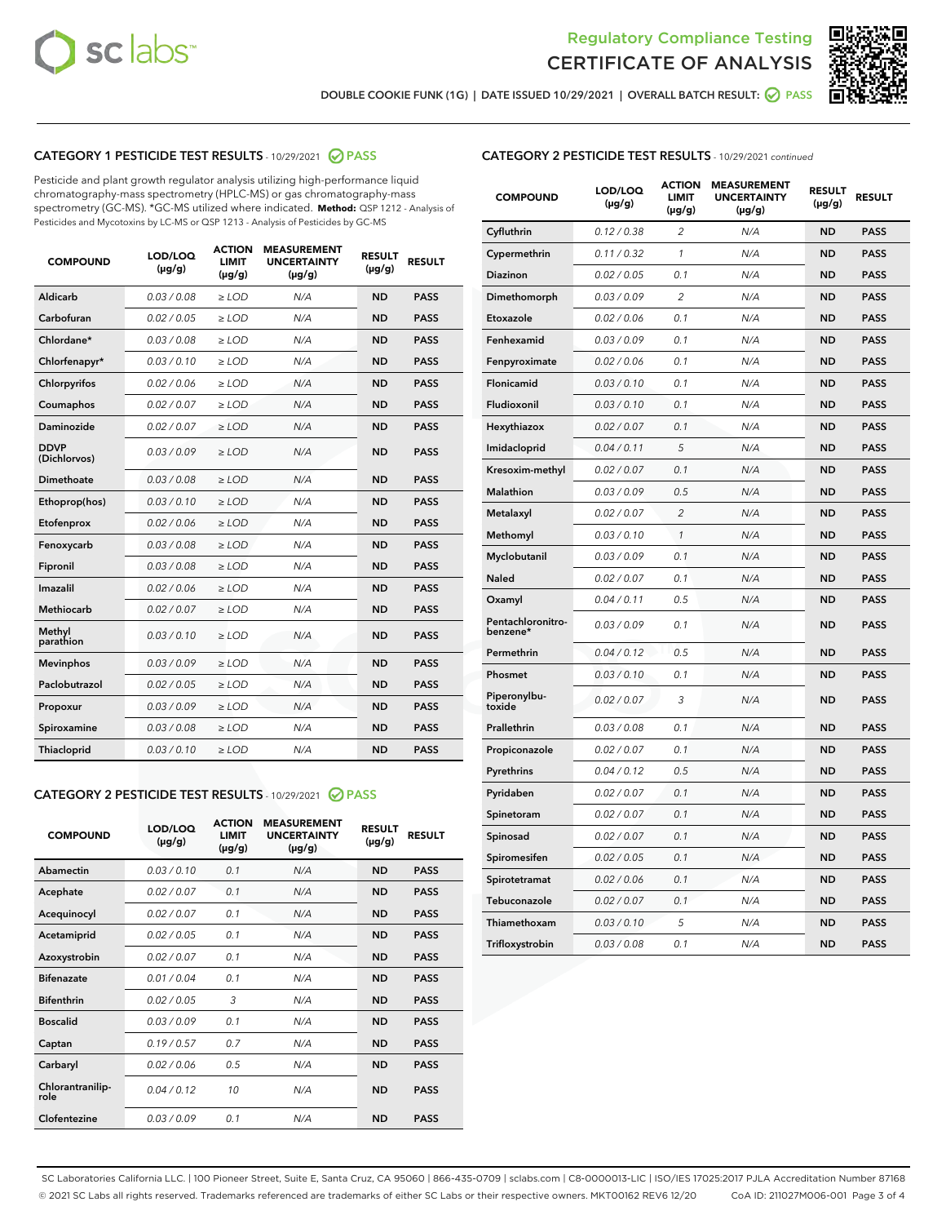



DOUBLE COOKIE FUNK (1G) | DATE ISSUED 10/29/2021 | OVERALL BATCH RESULT: ○ PASS

# CATEGORY 1 PESTICIDE TEST RESULTS - 10/29/2021 2 PASS

Pesticide and plant growth regulator analysis utilizing high-performance liquid chromatography-mass spectrometry (HPLC-MS) or gas chromatography-mass spectrometry (GC-MS). \*GC-MS utilized where indicated. **Method:** QSP 1212 - Analysis of Pesticides and Mycotoxins by LC-MS or QSP 1213 - Analysis of Pesticides by GC-MS

| <b>COMPOUND</b>             | LOD/LOQ<br>$(\mu g/g)$ | <b>ACTION</b><br><b>LIMIT</b><br>$(\mu g/g)$ | <b>MEASUREMENT</b><br><b>UNCERTAINTY</b><br>$(\mu g/g)$ | <b>RESULT</b><br>$(\mu g/g)$ | <b>RESULT</b> |
|-----------------------------|------------------------|----------------------------------------------|---------------------------------------------------------|------------------------------|---------------|
| Aldicarb                    | 0.03 / 0.08            | $\geq$ LOD                                   | N/A                                                     | <b>ND</b>                    | <b>PASS</b>   |
| Carbofuran                  | 0.02 / 0.05            | $>$ LOD                                      | N/A                                                     | <b>ND</b>                    | <b>PASS</b>   |
| Chlordane*                  | 0.03 / 0.08            | $\ge$ LOD                                    | N/A                                                     | <b>ND</b>                    | <b>PASS</b>   |
| Chlorfenapyr*               | 0.03/0.10              | $>$ LOD                                      | N/A                                                     | <b>ND</b>                    | <b>PASS</b>   |
| Chlorpyrifos                | 0.02 / 0.06            | ≥ LOD                                        | N/A                                                     | <b>ND</b>                    | <b>PASS</b>   |
| Coumaphos                   | 0.02 / 0.07            | $\ge$ LOD                                    | N/A                                                     | <b>ND</b>                    | <b>PASS</b>   |
| Daminozide                  | 0.02 / 0.07            | $\geq$ LOD                                   | N/A                                                     | <b>ND</b>                    | <b>PASS</b>   |
| <b>DDVP</b><br>(Dichlorvos) | 0.03/0.09              | $\geq$ LOD                                   | N/A                                                     | <b>ND</b>                    | <b>PASS</b>   |
| Dimethoate                  | 0.03 / 0.08            | $>$ LOD                                      | N/A                                                     | <b>ND</b>                    | <b>PASS</b>   |
| Ethoprop(hos)               | 0.03/0.10              | $\ge$ LOD                                    | N/A                                                     | <b>ND</b>                    | <b>PASS</b>   |
| Etofenprox                  | 0.02 / 0.06            | $>$ LOD                                      | N/A                                                     | <b>ND</b>                    | <b>PASS</b>   |
| Fenoxycarb                  | 0.03 / 0.08            | $\geq$ LOD                                   | N/A                                                     | <b>ND</b>                    | <b>PASS</b>   |
| Fipronil                    | 0.03/0.08              | $>$ LOD                                      | N/A                                                     | <b>ND</b>                    | <b>PASS</b>   |
| Imazalil                    | 0.02 / 0.06            | $\geq$ LOD                                   | N/A                                                     | <b>ND</b>                    | <b>PASS</b>   |
| <b>Methiocarb</b>           | 0.02 / 0.07            | $\ge$ LOD                                    | N/A                                                     | <b>ND</b>                    | <b>PASS</b>   |
| Methyl<br>parathion         | 0.03/0.10              | $\geq$ LOD                                   | N/A                                                     | <b>ND</b>                    | <b>PASS</b>   |
| <b>Mevinphos</b>            | 0.03/0.09              | $>$ LOD                                      | N/A                                                     | <b>ND</b>                    | <b>PASS</b>   |
| Paclobutrazol               | 0.02 / 0.05            | $\geq$ LOD                                   | N/A                                                     | <b>ND</b>                    | <b>PASS</b>   |
| Propoxur                    | 0.03/0.09              | $\ge$ LOD                                    | N/A                                                     | <b>ND</b>                    | <b>PASS</b>   |
| Spiroxamine                 | 0.03 / 0.08            | $\ge$ LOD                                    | N/A                                                     | <b>ND</b>                    | <b>PASS</b>   |
| Thiacloprid                 | 0.03/0.10              | $\geq$ LOD                                   | N/A                                                     | <b>ND</b>                    | <b>PASS</b>   |

#### CATEGORY 2 PESTICIDE TEST RESULTS - 10/29/2021 @ PASS

| <b>COMPOUND</b>          | LOD/LOO<br>$(\mu g/g)$ | <b>ACTION</b><br>LIMIT<br>$(\mu g/g)$ | <b>MEASUREMENT</b><br><b>UNCERTAINTY</b><br>$(\mu g/g)$ | <b>RESULT</b><br>$(\mu g/g)$ | <b>RESULT</b> |
|--------------------------|------------------------|---------------------------------------|---------------------------------------------------------|------------------------------|---------------|
| Abamectin                | 0.03/0.10              | 0.1                                   | N/A                                                     | <b>ND</b>                    | <b>PASS</b>   |
| Acephate                 | 0.02/0.07              | 0.1                                   | N/A                                                     | <b>ND</b>                    | <b>PASS</b>   |
| Acequinocyl              | 0.02/0.07              | 0.1                                   | N/A                                                     | <b>ND</b>                    | <b>PASS</b>   |
| Acetamiprid              | 0.02/0.05              | 0.1                                   | N/A                                                     | <b>ND</b>                    | <b>PASS</b>   |
| Azoxystrobin             | 0.02/0.07              | 0.1                                   | N/A                                                     | <b>ND</b>                    | <b>PASS</b>   |
| <b>Bifenazate</b>        | 0.01/0.04              | 0.1                                   | N/A                                                     | <b>ND</b>                    | <b>PASS</b>   |
| <b>Bifenthrin</b>        | 0.02 / 0.05            | 3                                     | N/A                                                     | <b>ND</b>                    | <b>PASS</b>   |
| <b>Boscalid</b>          | 0.03/0.09              | 0.1                                   | N/A                                                     | <b>ND</b>                    | <b>PASS</b>   |
| Captan                   | 0.19/0.57              | 0.7                                   | N/A                                                     | <b>ND</b>                    | <b>PASS</b>   |
| Carbaryl                 | 0.02/0.06              | 0.5                                   | N/A                                                     | <b>ND</b>                    | <b>PASS</b>   |
| Chlorantranilip-<br>role | 0.04/0.12              | 10                                    | N/A                                                     | <b>ND</b>                    | <b>PASS</b>   |
| Clofentezine             | 0.03/0.09              | 0.1                                   | N/A                                                     | <b>ND</b>                    | <b>PASS</b>   |

| <b>CATEGORY 2 PESTICIDE TEST RESULTS</b> - 10/29/2021 continued |  |
|-----------------------------------------------------------------|--|
|                                                                 |  |

| <b>COMPOUND</b>               | LOD/LOQ<br>(µg/g) | <b>ACTION</b><br>LIMIT<br>(µg/g) | <b>MEASUREMENT</b><br><b>UNCERTAINTY</b><br>(µg/g) | <b>RESULT</b><br>(µg/g) | <b>RESULT</b> |
|-------------------------------|-------------------|----------------------------------|----------------------------------------------------|-------------------------|---------------|
| Cyfluthrin                    | 0.12 / 0.38       | $\overline{c}$                   | N/A                                                | <b>ND</b>               | <b>PASS</b>   |
| Cypermethrin                  | 0.11/0.32         | 1                                | N/A                                                | <b>ND</b>               | <b>PASS</b>   |
| <b>Diazinon</b>               | 0.02 / 0.05       | 0.1                              | N/A                                                | <b>ND</b>               | <b>PASS</b>   |
| Dimethomorph                  | 0.03 / 0.09       | 2                                | N/A                                                | <b>ND</b>               | <b>PASS</b>   |
| Etoxazole                     | 0.02 / 0.06       | 0.1                              | N/A                                                | <b>ND</b>               | <b>PASS</b>   |
| Fenhexamid                    | 0.03 / 0.09       | 0.1                              | N/A                                                | <b>ND</b>               | <b>PASS</b>   |
| Fenpyroximate                 | 0.02 / 0.06       | 0.1                              | N/A                                                | <b>ND</b>               | <b>PASS</b>   |
| Flonicamid                    | 0.03 / 0.10       | 0.1                              | N/A                                                | <b>ND</b>               | <b>PASS</b>   |
| Fludioxonil                   | 0.03/0.10         | 0.1                              | N/A                                                | <b>ND</b>               | <b>PASS</b>   |
| Hexythiazox                   | 0.02 / 0.07       | 0.1                              | N/A                                                | <b>ND</b>               | <b>PASS</b>   |
| Imidacloprid                  | 0.04 / 0.11       | 5                                | N/A                                                | <b>ND</b>               | <b>PASS</b>   |
| Kresoxim-methyl               | 0.02 / 0.07       | 0.1                              | N/A                                                | <b>ND</b>               | <b>PASS</b>   |
| Malathion                     | 0.03 / 0.09       | 0.5                              | N/A                                                | <b>ND</b>               | <b>PASS</b>   |
| Metalaxyl                     | 0.02 / 0.07       | $\overline{c}$                   | N/A                                                | <b>ND</b>               | <b>PASS</b>   |
| Methomyl                      | 0.03 / 0.10       | 1                                | N/A                                                | <b>ND</b>               | <b>PASS</b>   |
| Myclobutanil                  | 0.03/0.09         | 0.1                              | N/A                                                | <b>ND</b>               | <b>PASS</b>   |
| Naled                         | 0.02 / 0.07       | 0.1                              | N/A                                                | <b>ND</b>               | <b>PASS</b>   |
| Oxamyl                        | 0.04 / 0.11       | 0.5                              | N/A                                                | <b>ND</b>               | <b>PASS</b>   |
| Pentachloronitro-<br>benzene* | 0.03/0.09         | 0.1                              | N/A                                                | <b>ND</b>               | <b>PASS</b>   |
| Permethrin                    | 0.04 / 0.12       | 0.5                              | N/A                                                | <b>ND</b>               | <b>PASS</b>   |
| Phosmet                       | 0.03 / 0.10       | 0.1                              | N/A                                                | <b>ND</b>               | <b>PASS</b>   |
| Piperonylbu-<br>toxide        | 0.02 / 0.07       | 3                                | N/A                                                | <b>ND</b>               | <b>PASS</b>   |
| Prallethrin                   | 0.03 / 0.08       | 0.1                              | N/A                                                | <b>ND</b>               | <b>PASS</b>   |
| Propiconazole                 | 0.02 / 0.07       | 0.1                              | N/A                                                | <b>ND</b>               | <b>PASS</b>   |
| Pyrethrins                    | 0.04 / 0.12       | 0.5                              | N/A                                                | <b>ND</b>               | <b>PASS</b>   |
| Pyridaben                     | 0.02 / 0.07       | 0.1                              | N/A                                                | <b>ND</b>               | <b>PASS</b>   |
| Spinetoram                    | 0.02 / 0.07       | 0.1                              | N/A                                                | <b>ND</b>               | <b>PASS</b>   |
| Spinosad                      | 0.02 / 0.07       | 0.1                              | N/A                                                | <b>ND</b>               | <b>PASS</b>   |
| Spiromesifen                  | 0.02 / 0.05       | 0.1                              | N/A                                                | <b>ND</b>               | <b>PASS</b>   |
| Spirotetramat                 | 0.02 / 0.06       | 0.1                              | N/A                                                | <b>ND</b>               | <b>PASS</b>   |
| Tebuconazole                  | 0.02 / 0.07       | 0.1                              | N/A                                                | <b>ND</b>               | <b>PASS</b>   |
| Thiamethoxam                  | 0.03 / 0.10       | 5                                | N/A                                                | <b>ND</b>               | <b>PASS</b>   |
| Trifloxystrobin               | 0.03 / 0.08       | 0.1                              | N/A                                                | <b>ND</b>               | <b>PASS</b>   |

SC Laboratories California LLC. | 100 Pioneer Street, Suite E, Santa Cruz, CA 95060 | 866-435-0709 | sclabs.com | C8-0000013-LIC | ISO/IES 17025:2017 PJLA Accreditation Number 87168 © 2021 SC Labs all rights reserved. Trademarks referenced are trademarks of either SC Labs or their respective owners. MKT00162 REV6 12/20 CoA ID: 211027M006-001 Page 3 of 4